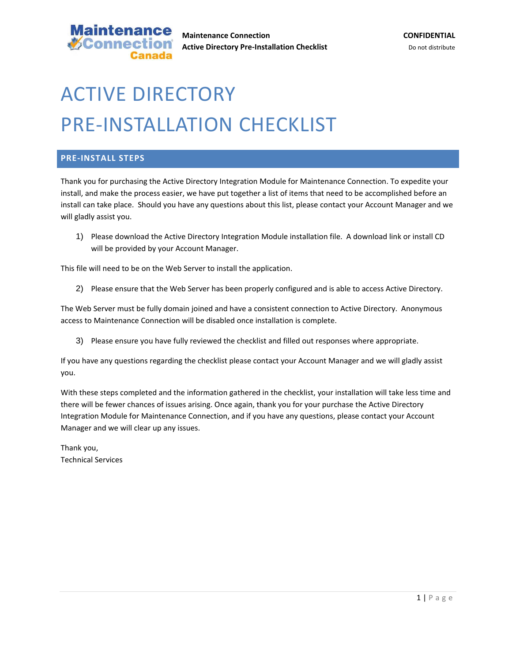

## ACTIVE DIRECTORY PRE-INSTALLATION CHECKLIST

## **PRE-INSTALL STEPS**

Thank you for purchasing the Active Directory Integration Module for Maintenance Connection. To expedite your install, and make the process easier, we have put together a list of items that need to be accomplished before an install can take place. Should you have any questions about this list, please contact your Account Manager and we will gladly assist you.

1) Please download the Active Directory Integration Module installation file. A download link or install CD will be provided by your Account Manager.

This file will need to be on the Web Server to install the application.

2) Please ensure that the Web Server has been properly configured and is able to access Active Directory.

The Web Server must be fully domain joined and have a consistent connection to Active Directory. Anonymous access to Maintenance Connection will be disabled once installation is complete.

3) Please ensure you have fully reviewed the checklist and filled out responses where appropriate.

If you have any questions regarding the checklist please contact your Account Manager and we will gladly assist you.

With these steps completed and the information gathered in the checklist, your installation will take less time and there will be fewer chances of issues arising. Once again, thank you for your purchase the Active Directory Integration Module for Maintenance Connection, and if you have any questions, please contact your Account Manager and we will clear up any issues.

Thank you, Technical Services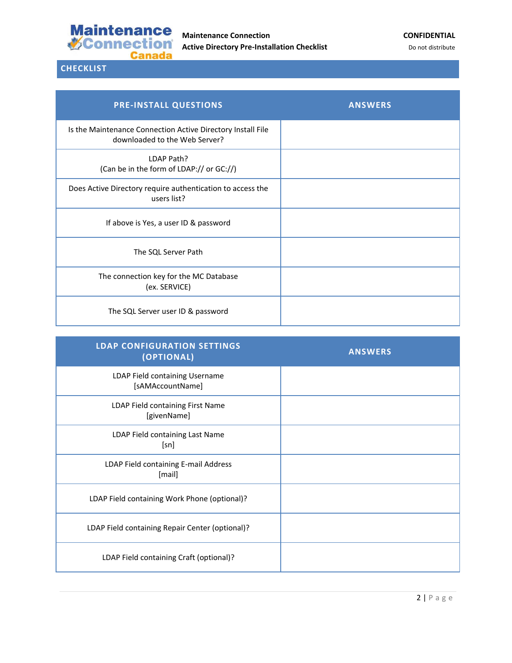

## **CHECKLIST**

| <b>PRE-INSTALL QUESTIONS</b>                                                                 | <b>ANSWERS</b> |
|----------------------------------------------------------------------------------------------|----------------|
| Is the Maintenance Connection Active Directory Install File<br>downloaded to the Web Server? |                |
| LDAP Path?<br>(Can be in the form of LDAP:// or GC://)                                       |                |
| Does Active Directory require authentication to access the<br>users list?                    |                |
| If above is Yes, a user ID & password                                                        |                |
| The SQL Server Path                                                                          |                |
| The connection key for the MC Database<br>(ex. SERVICE)                                      |                |
| The SQL Server user ID & password                                                            |                |

| <b>LDAP CONFIGURATION SETTINGS</b><br>(OPTIONAL)   | <b>ANSWERS</b> |
|----------------------------------------------------|----------------|
| LDAP Field containing Username<br>[sAMAccountName] |                |
| LDAP Field containing First Name<br>[givenName]    |                |
| LDAP Field containing Last Name<br>[sn]            |                |
| LDAP Field containing E-mail Address<br>[mail]     |                |
| LDAP Field containing Work Phone (optional)?       |                |
| LDAP Field containing Repair Center (optional)?    |                |
| LDAP Field containing Craft (optional)?            |                |